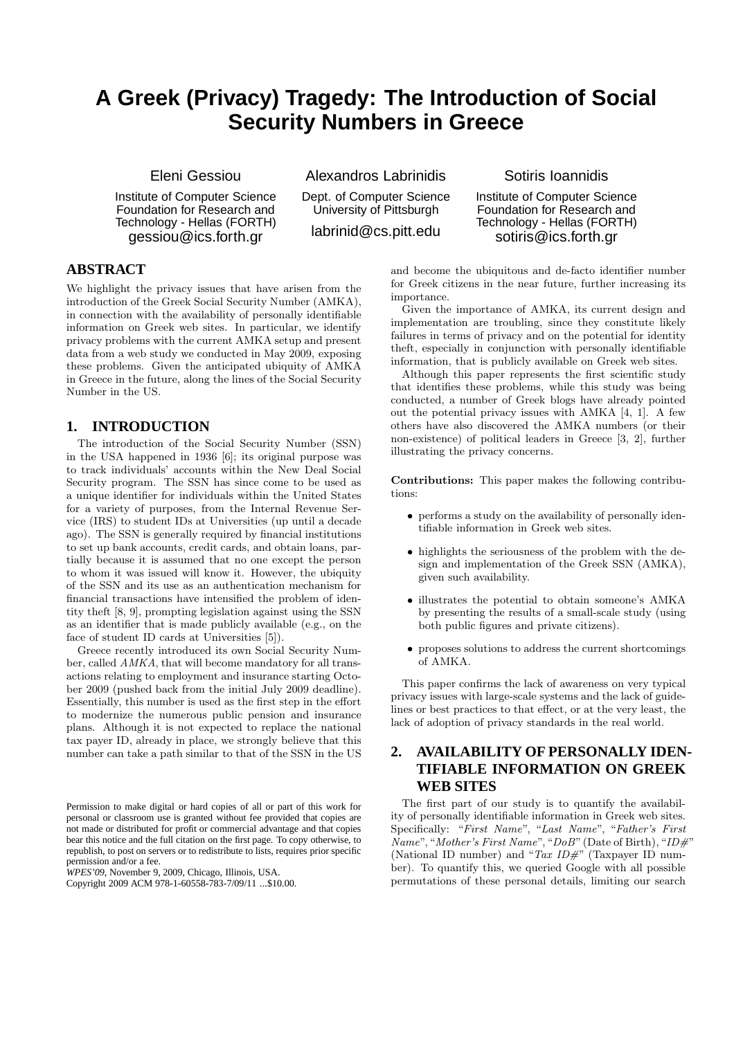# **A Greek (Privacy) Tragedy: The Introduction of Social Security Numbers in Greece**

Eleni Gessiou

Institute of Computer Science Foundation for Research and Technology - Hellas (FORTH) gessiou@ics.forth.gr

Alexandros Labrinidis Dept. of Computer Science University of Pittsburgh labrinid@cs.pitt.edu

### Sotiris Ioannidis

Institute of Computer Science Foundation for Research and Technology - Hellas (FORTH) sotiris@ics.forth.gr

# **ABSTRACT**

We highlight the privacy issues that have arisen from the introduction of the Greek Social Security Number (AMKA), in connection with the availability of personally identifiable information on Greek web sites. In particular, we identify privacy problems with the current AMKA setup and present data from a web study we conducted in May 2009, exposing these problems. Given the anticipated ubiquity of AMKA in Greece in the future, along the lines of the Social Security Number in the US.

# **1. INTRODUCTION**

The introduction of the Social Security Number (SSN) in the USA happened in 1936 [6]; its original purpose was to track individuals' accounts within the New Deal Social Security program. The SSN has since come to be used as a unique identifier for individuals within the United States for a variety of purposes, from the Internal Revenue Service (IRS) to student IDs at Universities (up until a decade ago). The SSN is generally required by financial institutions to set up bank accounts, credit cards, and obtain loans, partially because it is assumed that no one except the person to whom it was issued will know it. However, the ubiquity of the SSN and its use as an authentication mechanism for financial transactions have intensified the problem of identity theft [8, 9], prompting legislation against using the SSN as an identifier that is made publicly available (e.g., on the face of student ID cards at Universities [5]).

Greece recently introduced its own Social Security Number, called AMKA, that will become mandatory for all transactions relating to employment and insurance starting October 2009 (pushed back from the initial July 2009 deadline). Essentially, this number is used as the first step in the effort to modernize the numerous public pension and insurance plans. Although it is not expected to replace the national tax payer ID, already in place, we strongly believe that this number can take a path similar to that of the SSN in the US

*WPES'09,* November 9, 2009, Chicago, Illinois, USA.

and become the ubiquitous and de-facto identifier number for Greek citizens in the near future, further increasing its importance.

Given the importance of AMKA, its current design and implementation are troubling, since they constitute likely failures in terms of privacy and on the potential for identity theft, especially in conjunction with personally identifiable information, that is publicly available on Greek web sites.

Although this paper represents the first scientific study that identifies these problems, while this study was being conducted, a number of Greek blogs have already pointed out the potential privacy issues with AMKA [4, 1]. A few others have also discovered the AMKA numbers (or their non-existence) of political leaders in Greece [3, 2], further illustrating the privacy concerns.

Contributions: This paper makes the following contributions:

- performs a study on the availability of personally identifiable information in Greek web sites.
- highlights the seriousness of the problem with the design and implementation of the Greek SSN (AMKA), given such availability.
- illustrates the potential to obtain someone's AMKA by presenting the results of a small-scale study (using both public figures and private citizens).
- proposes solutions to address the current shortcomings of AMKA.

This paper confirms the lack of awareness on very typical privacy issues with large-scale systems and the lack of guidelines or best practices to that effect, or at the very least, the lack of adoption of privacy standards in the real world.

# **2. AVAILABILITY OF PERSONALLY IDEN-TIFIABLE INFORMATION ON GREEK WEB SITES**

The first part of our study is to quantify the availability of personally identifiable information in Greek web sites. Specifically: "First Name", "Last Name", "Father's First  $Name$ ", "Mother's First Name", "DoB" (Date of Birth), "ID#" (National ID number) and "Tax  $ID#$ " (Taxpayer ID number). To quantify this, we queried Google with all possible permutations of these personal details, limiting our search

Permission to make digital or hard copies of all or part of this work for personal or classroom use is granted without fee provided that copies are not made or distributed for profit or commercial advantage and that copies bear this notice and the full citation on the first page. To copy otherwise, to republish, to post on servers or to redistribute to lists, requires prior specific permission and/or a fee.

Copyright 2009 ACM 978-1-60558-783-7/09/11 ...\$10.00.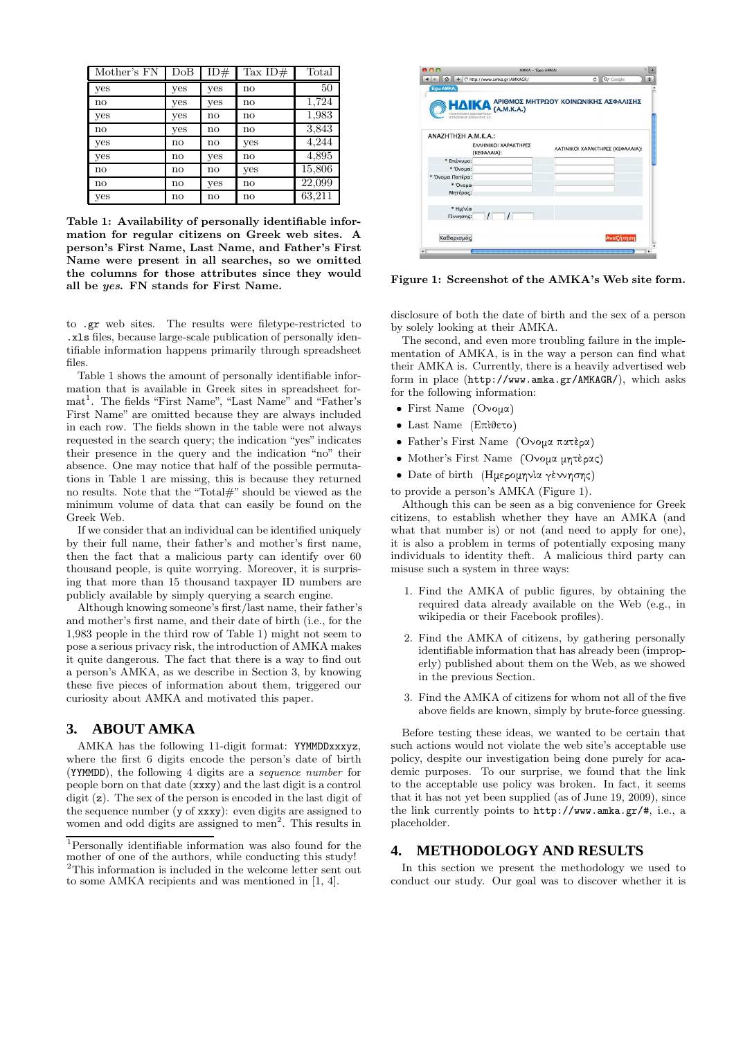| Mother's FN  | $\mathrm{DoB}$ | ID#          | Tax $ID#$ | Total  |
|--------------|----------------|--------------|-----------|--------|
| yes          | yes            | yes          | no        | 50     |
| $\mathbf{n}$ | yes            | yes          | no        | 1,724  |
| yes          | yes            | $\mathbf{n}$ | no        | 1,983  |
| $\mathbf{n}$ | yes            | no           | no        | 3,843  |
| yes          | no             | no           | yes       | 4,244  |
| yes          | no             | yes          | no        | 4,895  |
| $\mathbf{n}$ | $\mathbf{n}$   | no           | yes       | 15,806 |
| $\mathbf{n}$ | $\mathbf{n}$   | yes          | no        | 22,099 |
| yes          | $\mathbf{n}$   | no           | no        | 63,211 |

Table 1: Availability of personally identifiable information for regular citizens on Greek web sites. A person's First Name, Last Name, and Father's First Name were present in all searches, so we omitted the columns for those attributes since they would all be yes. FN stands for First Name.

to .gr web sites. The results were filetype-restricted to .xls files, because large-scale publication of personally identifiable information happens primarily through spreadsheet files.

Table 1 shows the amount of personally identifiable information that is available in Greek sites in spreadsheet format<sup>1</sup>. The fields "First Name", "Last Name" and "Father's First Name" are omitted because they are always included in each row. The fields shown in the table were not always requested in the search query; the indication "yes" indicates their presence in the query and the indication "no" their absence. One may notice that half of the possible permutations in Table 1 are missing, this is because they returned no results. Note that the "Total#" should be viewed as the minimum volume of data that can easily be found on the Greek Web.

If we consider that an individual can be identified uniquely by their full name, their father's and mother's first name, then the fact that a malicious party can identify over 60 thousand people, is quite worrying. Moreover, it is surprising that more than 15 thousand taxpayer ID numbers are publicly available by simply querying a search engine.

Although knowing someone's first/last name, their father's and mother's first name, and their date of birth (i.e., for the 1,983 people in the third row of Table 1) might not seem to pose a serious privacy risk, the introduction of AMKA makes it quite dangerous. The fact that there is a way to find out a person's AMKA, as we describe in Section 3, by knowing these five pieces of information about them, triggered our curiosity about AMKA and motivated this paper.

#### **3. ABOUT AMKA**

AMKA has the following 11-digit format: YYMMDDxxxyz, where the first 6 digits encode the person's date of birth (YYMMDD), the following 4 digits are a sequence number for people born on that date (xxxy) and the last digit is a control digit (z). The sex of the person is encoded in the last digit of the sequence number (y of xxxy): even digits are assigned to women and odd digits are assigned to men<sup>2</sup>. This results in



Figure 1: Screenshot of the AMKA's Web site form.

disclosure of both the date of birth and the sex of a person by solely looking at their AMKA.

The second, and even more troubling failure in the implementation of AMKA, is in the way a person can find what their AMKA is. Currently, there is a heavily advertised web form in place (http://www.amka.gr/AMKAGR/), which asks for the following information:

- First Name  $($ 'Ovou $\alpha$ )
- $\bullet$  Last Name (Επὶθετο)
- Father's First Name ('Ovou $\alpha$   $\pi$  $\alpha$  $\tau$ è $\alpha$ )
- Mother's First Name (Όνομα μητέρας)
- · Date of birth (Ημερομηνία γέννησης)
- to provide a person's AMKA (Figure 1).

Although this can be seen as a big convenience for Greek citizens, to establish whether they have an AMKA (and what that number is) or not (and need to apply for one), it is also a problem in terms of potentially exposing many individuals to identity theft. A malicious third party can misuse such a system in three ways:

- 1. Find the AMKA of public figures, by obtaining the required data already available on the Web (e.g., in wikipedia or their Facebook profiles).
- 2. Find the AMKA of citizens, by gathering personally identifiable information that has already been (improperly) published about them on the Web, as we showed in the previous Section.
- 3. Find the AMKA of citizens for whom not all of the five above fields are known, simply by brute-force guessing.

Before testing these ideas, we wanted to be certain that such actions would not violate the web site's acceptable use policy, despite our investigation being done purely for academic purposes. To our surprise, we found that the link to the acceptable use policy was broken. In fact, it seems that it has not yet been supplied (as of June 19, 2009), since the link currently points to http://www.amka.gr/#, i.e., a placeholder.

#### **4. METHODOLOGY AND RESULTS**

In this section we present the methodology we used to conduct our study. Our goal was to discover whether it is

<sup>1</sup>Personally identifiable information was also found for the mother of one of the authors, while conducting this study!  $^{2}{\rm This}$  information is included in the welcome letter sent out to some AMKA recipients and was mentioned in [1, 4].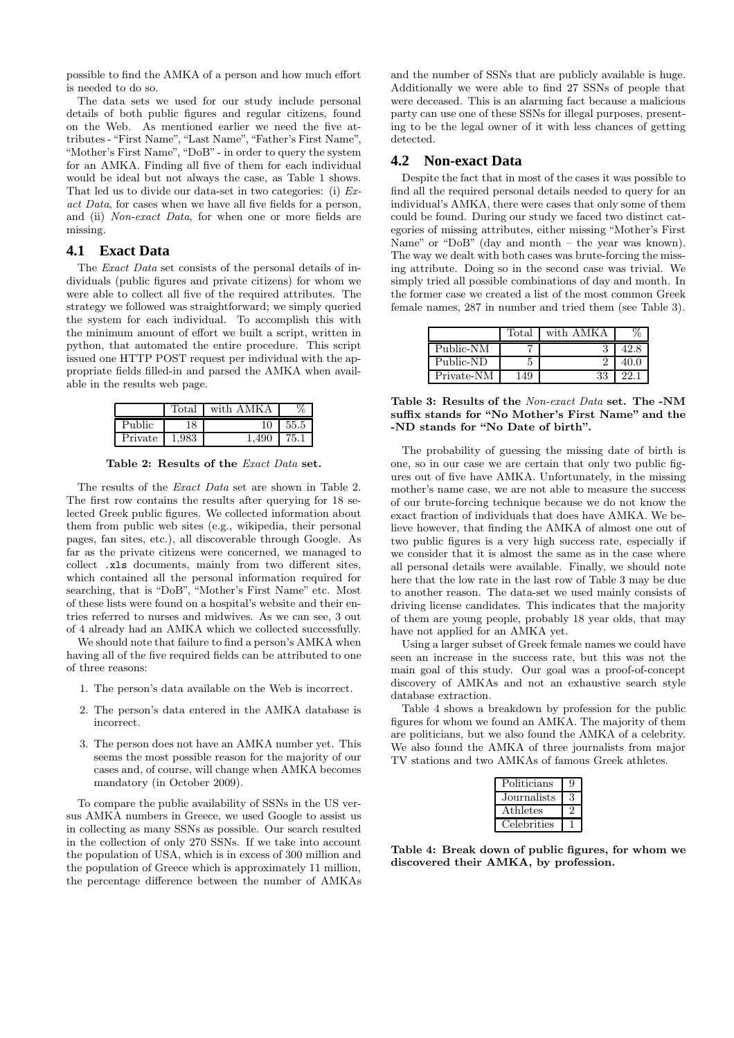possible to find the AMKA of a person and how much effort is needed to do so.

The data sets we used for our study include personal details of both public figures and regular citizens, found on the Web. As mentioned earlier we need the five attributes - "First Name", "Last Name", "Father's First Name", "Mother's First Name", "DoB" - in order to query the system for an AMKA. Finding all five of them for each individual would be ideal but not always the case, as Table 1 shows. That led us to divide our data-set in two categories: (i) Exact Data, for cases when we have all five fields for a person, and (ii) Non-exact Data, for when one or more fields are missing.

#### **4.1 Exact Data**

The Exact Data set consists of the personal details of individuals (public figures and private citizens) for whom we were able to collect all five of the required attributes. The strategy we followed was straightforward; we simply queried the system for each individual. To accomplish this with the minimum amount of effort we built a script, written in python, that automated the entire procedure. This script issued one HTTP POST request per individual with the appropriate fields filled-in and parsed the AMKA when available in the results web page.

|         | $_{\rm Total}$ | with AMKA |      |
|---------|----------------|-----------|------|
| Public  | 18             |           | 55.5 |
| Private | .983           | .490      | 75.1 |

Table 2: Results of the Exact Data set.

The results of the Exact Data set are shown in Table 2. The first row contains the results after querying for 18 selected Greek public figures. We collected information about them from public web sites (e.g., wikipedia, their personal pages, fan sites, etc.), all discoverable through Google. As far as the private citizens were concerned, we managed to collect .xls documents, mainly from two different sites, which contained all the personal information required for searching, that is "DoB", "Mother's First Name" etc. Most of these lists were found on a hospital's website and their entries referred to nurses and midwives. As we can see, 3 out of 4 already had an AMKA which we collected successfully.

We should note that failure to find a person's AMKA when having all of the five required fields can be attributed to one of three reasons:

- 1. The person's data available on the Web is incorrect.
- 2. The person's data entered in the AMKA database is incorrect.
- 3. The person does not have an AMKA number yet. This seems the most possible reason for the majority of our cases and, of course, will change when AMKA becomes mandatory (in October 2009).

To compare the public availability of SSNs in the US versus AMKA numbers in Greece, we used Google to assist us in collecting as many SSNs as possible. Our search resulted in the collection of only 270 SSNs. If we take into account the population of USA, which is in excess of 300 million and the population of Greece which is approximately 11 million, the percentage difference between the number of AMKAs

and the number of SSNs that are publicly available is huge. Additionally we were able to find 27 SSNs of people that were deceased. This is an alarming fact because a malicious party can use one of these SSNs for illegal purposes, presenting to be the legal owner of it with less chances of getting detected.

#### **4.2 Non-exact Data**

Despite the fact that in most of the cases it was possible to find all the required personal details needed to query for an individual's AMKA, there were cases that only some of them could be found. During our study we faced two distinct categories of missing attributes, either missing "Mother's First Name" or "DoB" (day and month – the year was known). The way we dealt with both cases was brute-forcing the missing attribute. Doing so in the second case was trivial. We simply tried all possible combinations of day and month. In the former case we created a list of the most common Greek female names, 287 in number and tried them (see Table 3).

|            | Total | with AMKA |      |
|------------|-------|-----------|------|
| Public-NM  |       |           | 42.8 |
| Public-ND  |       |           | 40.0 |
| Private-NM | 149   | 33        |      |

Table 3: Results of the Non-exact Data set. The -NM suffix stands for "No Mother's First Name" and the -ND stands for "No Date of birth".

The probability of guessing the missing date of birth is one, so in our case we are certain that only two public figures out of five have AMKA. Unfortunately, in the missing mother's name case, we are not able to measure the success of our brute-forcing technique because we do not know the exact fraction of individuals that does have AMKA. We believe however, that finding the AMKA of almost one out of two public figures is a very high success rate, especially if we consider that it is almost the same as in the case where all personal details were available. Finally, we should note here that the low rate in the last row of Table 3 may be due to another reason. The data-set we used mainly consists of driving license candidates. This indicates that the majority of them are young people, probably 18 year olds, that may have not applied for an AMKA yet.

Using a larger subset of Greek female names we could have seen an increase in the success rate, but this was not the main goal of this study. Our goal was a proof-of-concept discovery of AMKAs and not an exhaustive search style database extraction.

Table 4 shows a breakdown by profession for the public figures for whom we found an AMKA. The majority of them are politicians, but we also found the AMKA of a celebrity. We also found the AMKA of three journalists from major TV stations and two AMKAs of famous Greek athletes.

| Politicians | q |
|-------------|---|
| Journalists |   |
| Athletes    |   |
| Celebrities |   |

Table 4: Break down of public figures, for whom we discovered their AMKA, by profession.